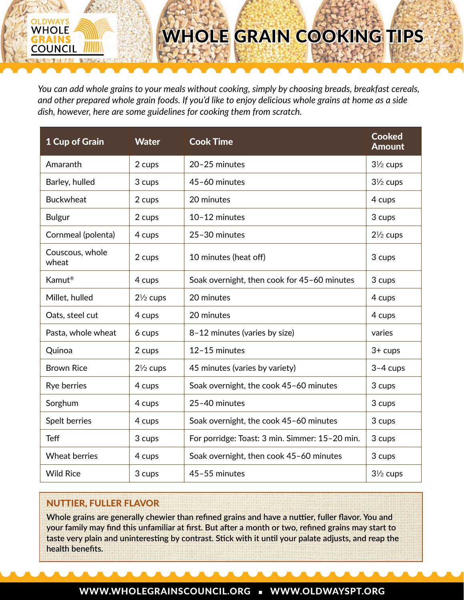# WHOLE GRAIN COOKING TIPS

*You can add whole grains to your meals without cooking, simply by choosing breads, breakfast cereals, and other prepared whole grain foods. If you'd like to enjoy delicious whole grains at home as a side dish, however, here are some guidelines for cooking them from scratch.*

| 1 Cup of Grain           | <b>Water</b>        | <b>Cook Time</b>                               | <b>Cooked</b><br><b>Amount</b> |
|--------------------------|---------------------|------------------------------------------------|--------------------------------|
| Amaranth                 | 2 cups              | 20-25 minutes                                  | $3\frac{1}{2}$ cups            |
| Barley, hulled           | 3 cups              | 45-60 minutes                                  | $3\frac{1}{2}$ cups            |
| <b>Buckwheat</b>         | 2 cups              | 20 minutes                                     | 4 cups                         |
| <b>Bulgur</b>            | 2 cups              | 10-12 minutes                                  | 3 cups                         |
| Cornmeal (polenta)       | 4 cups              | 25-30 minutes                                  | $2\frac{1}{2}$ cups            |
| Couscous, whole<br>wheat | 2 cups              | 10 minutes (heat off)                          | 3 cups                         |
| Kamut <sup>®</sup>       | 4 cups              | Soak overnight, then cook for 45-60 minutes    | 3 cups                         |
| Millet, hulled           | $2\frac{1}{2}$ cups | 20 minutes                                     | 4 cups                         |
| Oats, steel cut          | 4 cups              | 20 minutes                                     | 4 cups                         |
| Pasta, whole wheat       | 6 cups              | 8-12 minutes (varies by size)                  | varies                         |
| Quinoa                   | 2 cups              | 12-15 minutes                                  | $3+$ cups                      |
| <b>Brown Rice</b>        | $2\frac{1}{2}$ cups | 45 minutes (varies by variety)                 | $3-4$ cups                     |
| Rye berries              | 4 cups              | Soak overnight, the cook 45-60 minutes         | 3 cups                         |
| Sorghum                  | 4 cups              | 25-40 minutes                                  | 3 cups                         |
| Spelt berries            | 4 cups              | Soak overnight, the cook 45-60 minutes         | 3 cups                         |
| <b>Teff</b>              | 3 cups              | For porridge: Toast: 3 min. Simmer: 15-20 min. | 3 cups                         |
| <b>Wheat berries</b>     | 4 cups              | Soak overnight, then cook 45-60 minutes        | 3 cups                         |
| <b>Wild Rice</b>         | 3 cups              | 45-55 minutes                                  | $3\frac{1}{2}$ cups            |

## NUTTIER, FULLER FLAVOR

OLDWAYS **WHOLE** 

**COUNCIL** 

**Whole grains are generally chewier than refined grains and have a nuttier, fuller flavor. You and your family may find this unfamiliar at first. But after a month or two, refined grains may start to taste very plain and uninteresting by contrast. Stick with it until your palate adjusts, and reap the health benefits.**